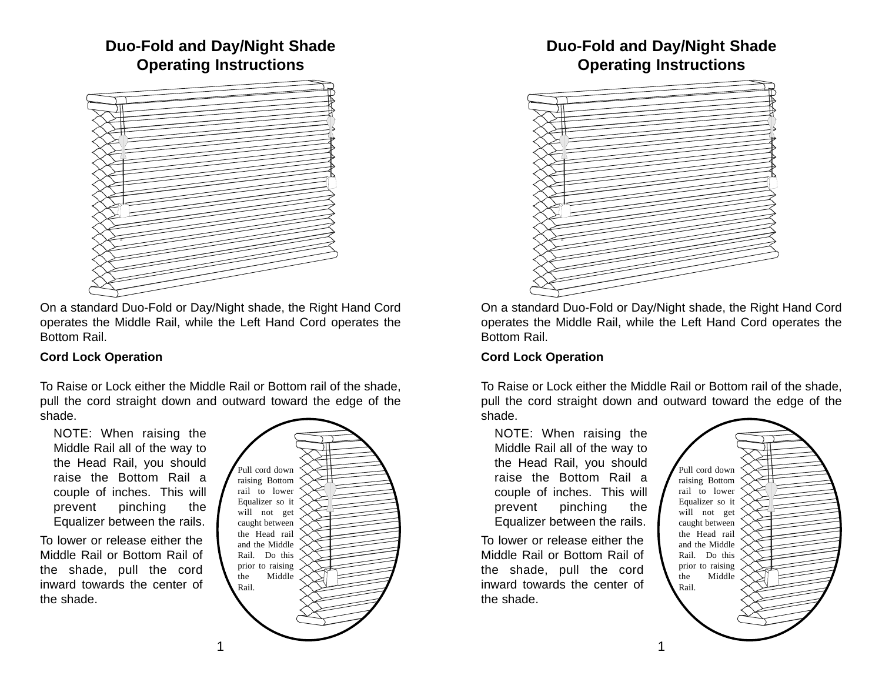## **Duo-Fold and Day/Night Shade Operating Instructions**



On a standard Duo-Fold or Day/Night shade, the Right Hand Cord operates the Middle Rail, while the Left Hand Cord operates the Bottom Rail.

## **Cord Lock Operation**

To Raise or Lock either the Middle Rail or Bottom rail of the shade, pull the cord straight down and outward toward the edge of the shade.

NOTE: When raising the Middle Rail all of the way to the Head Rail, you should raise the Bottom Rail a couple of inches. This will prevent pinching the Equalizer between the rails.

To lower or release either the Middle Rail or Bottom Rail of the shade, pull the cord inward towards the center of the shade.